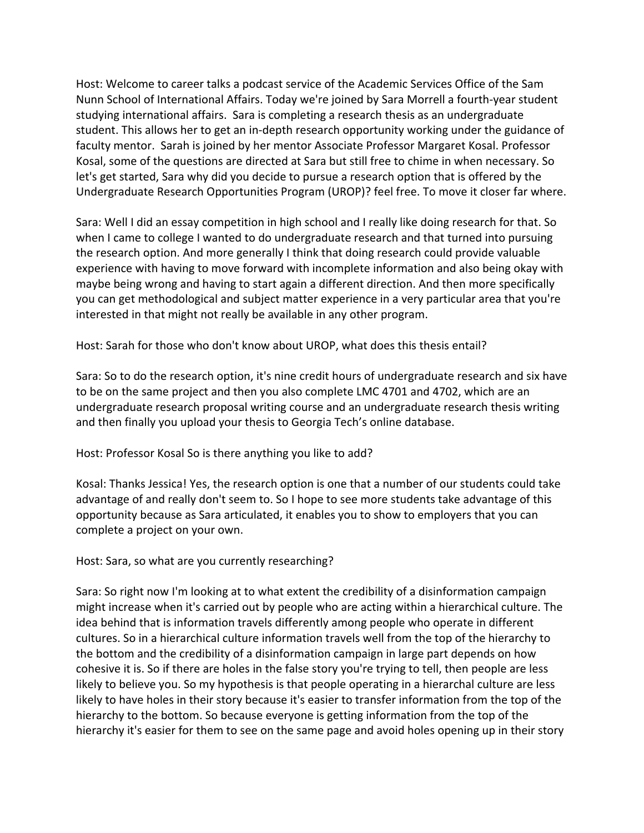Host: Welcome to career talks a podcast service of the Academic Services Office of the Sam Nunn School of International Affairs. Today we're joined by Sara Morrell a fourth-year student studying international affairs. Sara is completing a research thesis as an undergraduate student. This allows her to get an in-depth research opportunity working under the guidance of faculty mentor. Sarah is joined by her mentor Associate Professor Margaret Kosal. Professor Kosal, some of the questions are directed at Sara but still free to chime in when necessary. So let's get started, Sara why did you decide to pursue a research option that is offered by the Undergraduate Research Opportunities Program (UROP)? feel free. To move it closer far where.

Sara: Well I did an essay competition in high school and I really like doing research for that. So when I came to college I wanted to do undergraduate research and that turned into pursuing the research option. And more generally I think that doing research could provide valuable experience with having to move forward with incomplete information and also being okay with maybe being wrong and having to start again a different direction. And then more specifically you can get methodological and subject matter experience in a very particular area that you're interested in that might not really be available in any other program.

Host: Sarah for those who don't know about UROP, what does this thesis entail?

Sara: So to do the research option, it's nine credit hours of undergraduate research and six have to be on the same project and then you also complete LMC 4701 and 4702, which are an undergraduate research proposal writing course and an undergraduate research thesis writing and then finally you upload your thesis to Georgia Tech's online database.

Host: Professor Kosal So is there anything you like to add?

Kosal: Thanks Jessica! Yes, the research option is one that a number of our students could take advantage of and really don't seem to. So I hope to see more students take advantage of this opportunity because as Sara articulated, it enables you to show to employers that you can complete a project on your own.

Host: Sara, so what are you currently researching?

Sara: So right now I'm looking at to what extent the credibility of a disinformation campaign might increase when it's carried out by people who are acting within a hierarchical culture. The idea behind that is information travels differently among people who operate in different cultures. So in a hierarchical culture information travels well from the top of the hierarchy to the bottom and the credibility of a disinformation campaign in large part depends on how cohesive it is. So if there are holes in the false story you're trying to tell, then people are less likely to believe you. So my hypothesis is that people operating in a hierarchal culture are less likely to have holes in their story because it's easier to transfer information from the top of the hierarchy to the bottom. So because everyone is getting information from the top of the hierarchy it's easier for them to see on the same page and avoid holes opening up in their story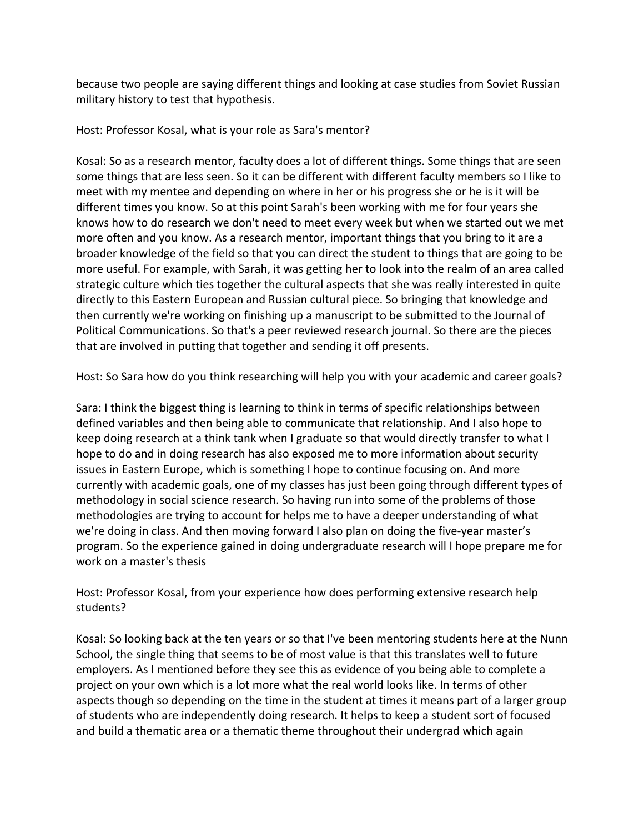because two people are saying different things and looking at case studies from Soviet Russian military history to test that hypothesis.

Host: Professor Kosal, what is your role as Sara's mentor?

Kosal: So as a research mentor, faculty does a lot of different things. Some things that are seen some things that are less seen. So it can be different with different faculty members so I like to meet with my mentee and depending on where in her or his progress she or he is it will be different times you know. So at this point Sarah's been working with me for four years she knows how to do research we don't need to meet every week but when we started out we met more often and you know. As a research mentor, important things that you bring to it are a broader knowledge of the field so that you can direct the student to things that are going to be more useful. For example, with Sarah, it was getting her to look into the realm of an area called strategic culture which ties together the cultural aspects that she was really interested in quite directly to this Eastern European and Russian cultural piece. So bringing that knowledge and then currently we're working on finishing up a manuscript to be submitted to the Journal of Political Communications. So that's a peer reviewed research journal. So there are the pieces that are involved in putting that together and sending it off presents.

Host: So Sara how do you think researching will help you with your academic and career goals?

Sara: I think the biggest thing is learning to think in terms of specific relationships between defined variables and then being able to communicate that relationship. And I also hope to keep doing research at a think tank when I graduate so that would directly transfer to what I hope to do and in doing research has also exposed me to more information about security issues in Eastern Europe, which is something I hope to continue focusing on. And more currently with academic goals, one of my classes has just been going through different types of methodology in social science research. So having run into some of the problems of those methodologies are trying to account for helps me to have a deeper understanding of what we're doing in class. And then moving forward I also plan on doing the five-year master's program. So the experience gained in doing undergraduate research will I hope prepare me for work on a master's thesis

Host: Professor Kosal, from your experience how does performing extensive research help students?

Kosal: So looking back at the ten years or so that I've been mentoring students here at the Nunn School, the single thing that seems to be of most value is that this translates well to future employers. As I mentioned before they see this as evidence of you being able to complete a project on your own which is a lot more what the real world looks like. In terms of other aspects though so depending on the time in the student at times it means part of a larger group of students who are independently doing research. It helps to keep a student sort of focused and build a thematic area or a thematic theme throughout their undergrad which again